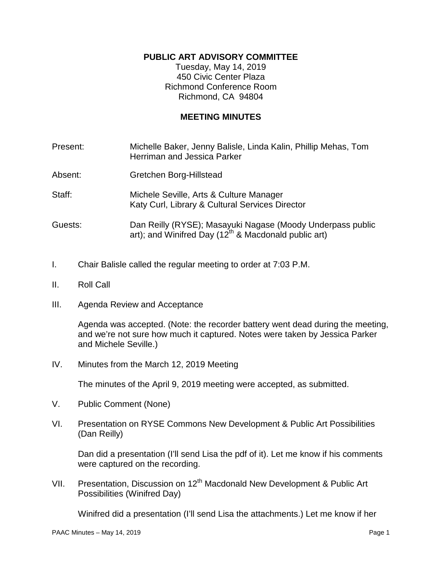## **PUBLIC ART ADVISORY COMMITTEE**

Tuesday, May 14, 2019 450 Civic Center Plaza Richmond Conference Room Richmond, CA 94804

## **MEETING MINUTES**

| Present: | Michelle Baker, Jenny Balisle, Linda Kalin, Phillip Mehas, Tom<br><b>Herriman and Jessica Parker</b>                           |
|----------|--------------------------------------------------------------------------------------------------------------------------------|
| Absent:  | Gretchen Borg-Hillstead                                                                                                        |
| Staff:   | Michele Seville, Arts & Culture Manager<br>Katy Curl, Library & Cultural Services Director                                     |
| Guests:  | Dan Reilly (RYSE); Masayuki Nagase (Moody Underpass public<br>art); and Winifred Day (12 <sup>th</sup> & Macdonald public art) |

- I. Chair Balisle called the regular meeting to order at 7:03 P.M.
- II. Roll Call
- III. Agenda Review and Acceptance

Agenda was accepted. (Note: the recorder battery went dead during the meeting, and we're not sure how much it captured. Notes were taken by Jessica Parker and Michele Seville.)

IV. Minutes from the March 12, 2019 Meeting

The minutes of the April 9, 2019 meeting were accepted, as submitted.

- V. Public Comment (None)
- VI. Presentation on RYSE Commons New Development & Public Art Possibilities (Dan Reilly)

Dan did a presentation (I'll send Lisa the pdf of it). Let me know if his comments were captured on the recording.

VII. Presentation, Discussion on 12<sup>th</sup> Macdonald New Development & Public Art Possibilities (Winifred Day)

Winifred did a presentation (I'll send Lisa the attachments.) Let me know if her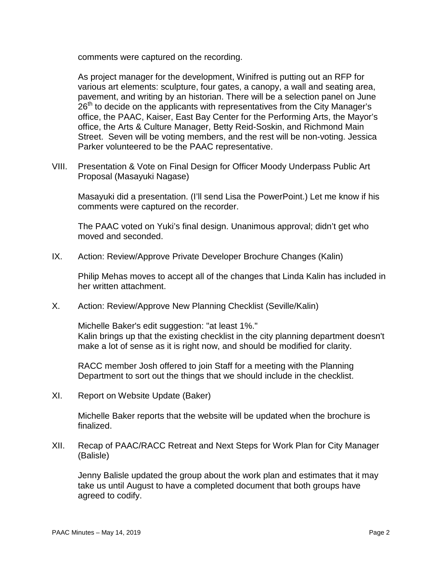comments were captured on the recording.

As project manager for the development, Winifred is putting out an RFP for various art elements: sculpture, four gates, a canopy, a wall and seating area, pavement, and writing by an historian. There will be a selection panel on June  $26<sup>th</sup>$  to decide on the applicants with representatives from the City Manager's office, the PAAC, Kaiser, East Bay Center for the Performing Arts, the Mayor's office, the Arts & Culture Manager, Betty Reid-Soskin, and Richmond Main Street. Seven will be voting members, and the rest will be non-voting. Jessica Parker volunteered to be the PAAC representative.

VIII. Presentation & Vote on Final Design for Officer Moody Underpass Public Art Proposal (Masayuki Nagase)

Masayuki did a presentation. (I'll send Lisa the PowerPoint.) Let me know if his comments were captured on the recorder.

The PAAC voted on Yuki's final design. Unanimous approval; didn't get who moved and seconded.

IX. Action: Review/Approve Private Developer Brochure Changes (Kalin)

Philip Mehas moves to accept all of the changes that Linda Kalin has included in her written attachment.

X. Action: Review/Approve New Planning Checklist (Seville/Kalin)

Michelle Baker's edit suggestion: "at least 1%." Kalin brings up that the existing checklist in the city planning department doesn't make a lot of sense as it is right now, and should be modified for clarity.

RACC member Josh offered to join Staff for a meeting with the Planning Department to sort out the things that we should include in the checklist.

XI. Report on Website Update (Baker)

Michelle Baker reports that the website will be updated when the brochure is finalized.

XII. Recap of PAAC/RACC Retreat and Next Steps for Work Plan for City Manager (Balisle)

Jenny Balisle updated the group about the work plan and estimates that it may take us until August to have a completed document that both groups have agreed to codify.